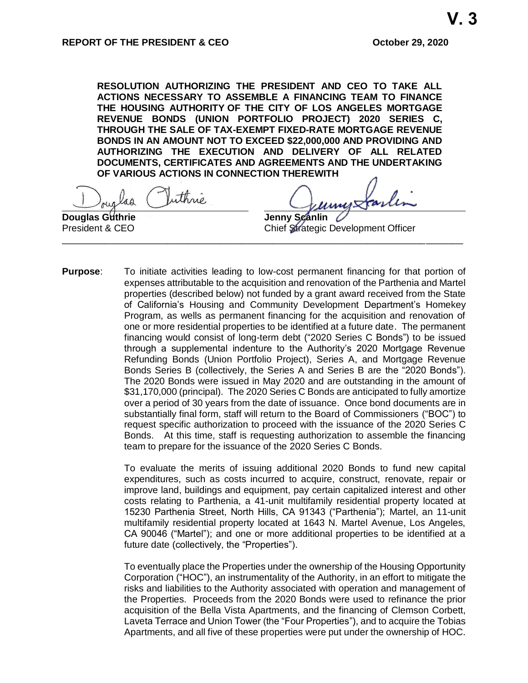**RESOLUTION AUTHORIZING THE PRESIDENT AND CEO TO TAKE ALL ACTIONS NECESSARY TO ASSEMBLE A FINANCING TEAM TO FINANCE THE HOUSING AUTHORITY OF THE CITY OF LOS ANGELES MORTGAGE REVENUE BONDS (UNION PORTFOLIO PROJECT) 2020 SERIES C, THROUGH THE SALE OF TAX-EXEMPT FIXED-RATE MORTGAGE REVENUE BONDS IN AN AMOUNT NOT TO EXCEED \$22,000,000 AND PROVIDING AND AUTHORIZING THE EXECUTION AND DELIVERY OF ALL RELATED DOCUMENTS, CERTIFICATES AND AGREEMENTS AND THE UNDERTAKING OF VARIOUS ACTIONS IN CONNECTION THEREWITH**

uthrie, ag

**Douglas Guthrie Construction Construction Construction Construction Construction Construction Construction Construction Construction Construction Construction Construction Construction Construction Construction Construc** President & CEO Chief Strategic Development Officer \_\_\_\_\_\_\_\_\_\_\_\_\_\_\_\_\_\_\_\_\_\_\_\_\_\_\_\_\_\_\_\_\_\_\_\_\_\_\_\_\_\_\_\_\_\_\_\_\_\_\_\_\_\_\_\_\_\_\_\_\_\_\_\_\_\_\_\_\_\_\_\_\_\_\_\_

**Purpose**: To initiate activities leading to low-cost permanent financing for that portion of expenses attributable to the acquisition and renovation of the Parthenia and Martel properties (described below) not funded by a grant award received from the State of California's Housing and Community Development Department's Homekey Program, as wells as permanent financing for the acquisition and renovation of one or more residential properties to be identified at a future date. The permanent financing would consist of long-term debt ("2020 Series C Bonds") to be issued through a supplemental indenture to the Authority's 2020 Mortgage Revenue Refunding Bonds (Union Portfolio Project), Series A, and Mortgage Revenue Bonds Series B (collectively, the Series A and Series B are the "2020 Bonds"). The 2020 Bonds were issued in May 2020 and are outstanding in the amount of \$31,170,000 (principal). The 2020 Series C Bonds are anticipated to fully amortize over a period of 30 years from the date of issuance. Once bond documents are in substantially final form, staff will return to the Board of Commissioners ("BOC") to request specific authorization to proceed with the issuance of the 2020 Series C Bonds. At this time, staff is requesting authorization to assemble the financing team to prepare for the issuance of the 2020 Series C Bonds.

> To evaluate the merits of issuing additional 2020 Bonds to fund new capital expenditures, such as costs incurred to acquire, construct, renovate, repair or improve land, buildings and equipment, pay certain capitalized interest and other costs relating to Parthenia, a 41-unit multifamily residential property located at 15230 Parthenia Street, North Hills, CA 91343 ("Parthenia"); Martel, an 11-unit multifamily residential property located at 1643 N. Martel Avenue, Los Angeles, CA 90046 ("Martel"); and one or more additional properties to be identified at a future date (collectively, the "Properties").

> To eventually place the Properties under the ownership of the Housing Opportunity Corporation ("HOC"), an instrumentality of the Authority, in an effort to mitigate the risks and liabilities to the Authority associated with operation and management of the Properties. Proceeds from the 2020 Bonds were used to refinance the prior acquisition of the Bella Vista Apartments, and the financing of Clemson Corbett, Laveta Terrace and Union Tower (the "Four Properties"), and to acquire the Tobias Apartments, and all five of these properties were put under the ownership of HOC.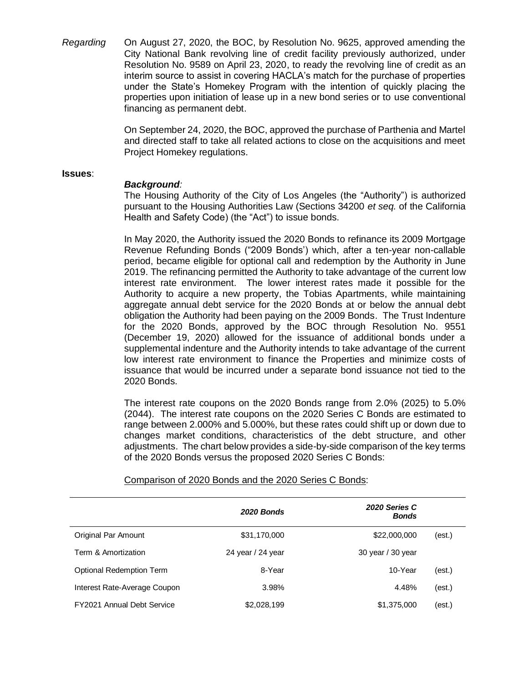*Regarding* On August 27, 2020, the BOC, by Resolution No. 9625, approved amending the City National Bank revolving line of credit facility previously authorized, under Resolution No. 9589 on April 23, 2020, to ready the revolving line of credit as an interim source to assist in covering HACLA's match for the purchase of properties under the State's Homekey Program with the intention of quickly placing the properties upon initiation of lease up in a new bond series or to use conventional financing as permanent debt.

> On September 24, 2020, the BOC, approved the purchase of Parthenia and Martel and directed staff to take all related actions to close on the acquisitions and meet Project Homekey regulations.

#### **Issues**:

# *Background:*

The Housing Authority of the City of Los Angeles (the "Authority") is authorized pursuant to the Housing Authorities Law (Sections 34200 *et seq.* of the California Health and Safety Code) (the "Act") to issue bonds.

In May 2020, the Authority issued the 2020 Bonds to refinance its 2009 Mortgage Revenue Refunding Bonds ("2009 Bonds') which, after a ten-year non-callable period, became eligible for optional call and redemption by the Authority in June 2019. The refinancing permitted the Authority to take advantage of the current low interest rate environment. The lower interest rates made it possible for the Authority to acquire a new property, the Tobias Apartments, while maintaining aggregate annual debt service for the 2020 Bonds at or below the annual debt obligation the Authority had been paying on the 2009 Bonds. The Trust Indenture for the 2020 Bonds, approved by the BOC through Resolution No. 9551 (December 19, 2020) allowed for the issuance of additional bonds under a supplemental indenture and the Authority intends to take advantage of the current low interest rate environment to finance the Properties and minimize costs of issuance that would be incurred under a separate bond issuance not tied to the 2020 Bonds.

The interest rate coupons on the 2020 Bonds range from 2.0% (2025) to 5.0% (2044). The interest rate coupons on the 2020 Series C Bonds are estimated to range between 2.000% and 5.000%, but these rates could shift up or down due to changes market conditions, characteristics of the debt structure, and other adjustments. The chart below provides a side-by-side comparison of the key terms of the 2020 Bonds versus the proposed 2020 Series C Bonds:

|                                   | 2020 Bonds        | 2020 Series C<br><b>Bonds</b> |        |
|-----------------------------------|-------------------|-------------------------------|--------|
| Original Par Amount               | \$31,170,000      | \$22,000,000                  | (est.) |
| Term & Amortization               | 24 year / 24 year | 30 year / 30 year             |        |
| Optional Redemption Term          | 8-Year            | 10-Year                       | (est.) |
| Interest Rate-Average Coupon      | 3.98%             | 4.48%                         | (est.) |
| <b>FY2021 Annual Debt Service</b> | \$2,028,199       | \$1,375,000                   | (est.) |

Comparison of 2020 Bonds and the 2020 Series C Bonds: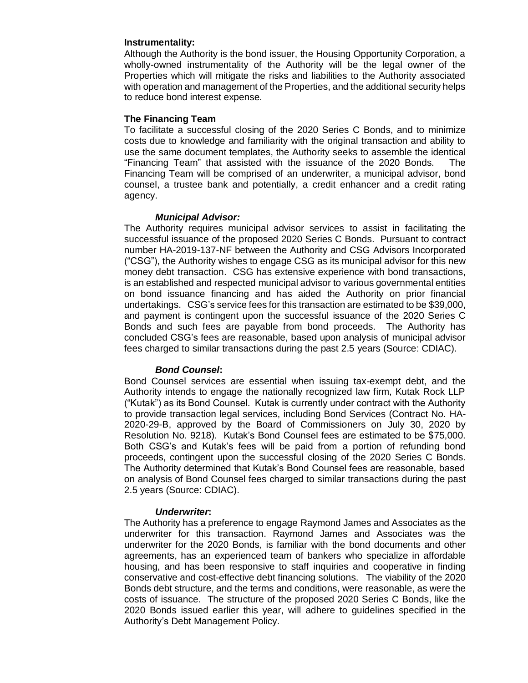# **Instrumentality:**

Although the Authority is the bond issuer, the Housing Opportunity Corporation, a wholly-owned instrumentality of the Authority will be the legal owner of the Properties which will mitigate the risks and liabilities to the Authority associated with operation and management of the Properties, and the additional security helps to reduce bond interest expense.

# **The Financing Team**

To facilitate a successful closing of the 2020 Series C Bonds, and to minimize costs due to knowledge and familiarity with the original transaction and ability to use the same document templates, the Authority seeks to assemble the identical "Financing Team" that assisted with the issuance of the 2020 Bonds. The Financing Team will be comprised of an underwriter, a municipal advisor, bond counsel, a trustee bank and potentially, a credit enhancer and a credit rating agency.

## *Municipal Advisor:*

The Authority requires municipal advisor services to assist in facilitating the successful issuance of the proposed 2020 Series C Bonds. Pursuant to contract number HA-2019-137-NF between the Authority and CSG Advisors Incorporated ("CSG"), the Authority wishes to engage CSG as its municipal advisor for this new money debt transaction. CSG has extensive experience with bond transactions, is an established and respected municipal advisor to various governmental entities on bond issuance financing and has aided the Authority on prior financial undertakings. CSG's service fees for this transaction are estimated to be \$39,000, and payment is contingent upon the successful issuance of the 2020 Series C Bonds and such fees are payable from bond proceeds. The Authority has concluded CSG's fees are reasonable, based upon analysis of municipal advisor fees charged to similar transactions during the past 2.5 years (Source: CDIAC).

# *Bond Counsel***:**

Bond Counsel services are essential when issuing tax-exempt debt, and the Authority intends to engage the nationally recognized law firm, Kutak Rock LLP ("Kutak") as its Bond Counsel. Kutak is currently under contract with the Authority to provide transaction legal services, including Bond Services (Contract No. HA-2020-29-B, approved by the Board of Commissioners on July 30, 2020 by Resolution No. 9218). Kutak's Bond Counsel fees are estimated to be \$75,000. Both CSG's and Kutak's fees will be paid from a portion of refunding bond proceeds, contingent upon the successful closing of the 2020 Series C Bonds. The Authority determined that Kutak's Bond Counsel fees are reasonable, based on analysis of Bond Counsel fees charged to similar transactions during the past 2.5 years (Source: CDIAC).

## *Underwriter***:**

The Authority has a preference to engage Raymond James and Associates as the underwriter for this transaction. Raymond James and Associates was the underwriter for the 2020 Bonds, is familiar with the bond documents and other agreements, has an experienced team of bankers who specialize in affordable housing, and has been responsive to staff inquiries and cooperative in finding conservative and cost-effective debt financing solutions. The viability of the 2020 Bonds debt structure, and the terms and conditions, were reasonable, as were the costs of issuance. The structure of the proposed 2020 Series C Bonds, like the 2020 Bonds issued earlier this year, will adhere to guidelines specified in the Authority's Debt Management Policy.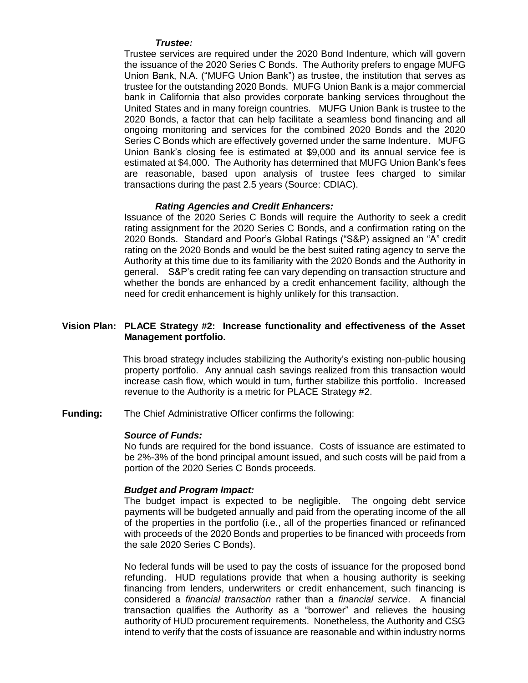### *Trustee:*

Trustee services are required under the 2020 Bond Indenture, which will govern the issuance of the 2020 Series C Bonds. The Authority prefers to engage MUFG Union Bank, N.A. ("MUFG Union Bank") as trustee, the institution that serves as trustee for the outstanding 2020 Bonds. MUFG Union Bank is a major commercial bank in California that also provides corporate banking services throughout the United States and in many foreign countries. MUFG Union Bank is trustee to the 2020 Bonds, a factor that can help facilitate a seamless bond financing and all ongoing monitoring and services for the combined 2020 Bonds and the 2020 Series C Bonds which are effectively governed under the same Indenture. MUFG Union Bank's closing fee is estimated at \$9,000 and its annual service fee is estimated at \$4,000. The Authority has determined that MUFG Union Bank's fees are reasonable, based upon analysis of trustee fees charged to similar transactions during the past 2.5 years (Source: CDIAC).

## *Rating Agencies and Credit Enhancers:*

Issuance of the 2020 Series C Bonds will require the Authority to seek a credit rating assignment for the 2020 Series C Bonds, and a confirmation rating on the 2020 Bonds. Standard and Poor's Global Ratings ("S&P) assigned an "A" credit rating on the 2020 Bonds and would be the best suited rating agency to serve the Authority at this time due to its familiarity with the 2020 Bonds and the Authority in general. S&P's credit rating fee can vary depending on transaction structure and whether the bonds are enhanced by a credit enhancement facility, although the need for credit enhancement is highly unlikely for this transaction.

## **Vision Plan: PLACE Strategy #2: Increase functionality and effectiveness of the Asset Management portfolio.**

This broad strategy includes stabilizing the Authority's existing non-public housing property portfolio. Any annual cash savings realized from this transaction would increase cash flow, which would in turn, further stabilize this portfolio. Increased revenue to the Authority is a metric for PLACE Strategy #2.

**Funding:** The Chief Administrative Officer confirms the following:

#### *Source of Funds:*

No funds are required for the bond issuance. Costs of issuance are estimated to be 2%-3% of the bond principal amount issued, and such costs will be paid from a portion of the 2020 Series C Bonds proceeds.

#### *Budget and Program Impact:*

The budget impact is expected to be negligible. The ongoing debt service payments will be budgeted annually and paid from the operating income of the all of the properties in the portfolio (i.e., all of the properties financed or refinanced with proceeds of the 2020 Bonds and properties to be financed with proceeds from the sale 2020 Series C Bonds).

No federal funds will be used to pay the costs of issuance for the proposed bond refunding. HUD regulations provide that when a housing authority is seeking financing from lenders, underwriters or credit enhancement, such financing is considered a *financial transaction* rather than a *financial service*. A financial transaction qualifies the Authority as a "borrower" and relieves the housing authority of HUD procurement requirements. Nonetheless, the Authority and CSG intend to verify that the costs of issuance are reasonable and within industry norms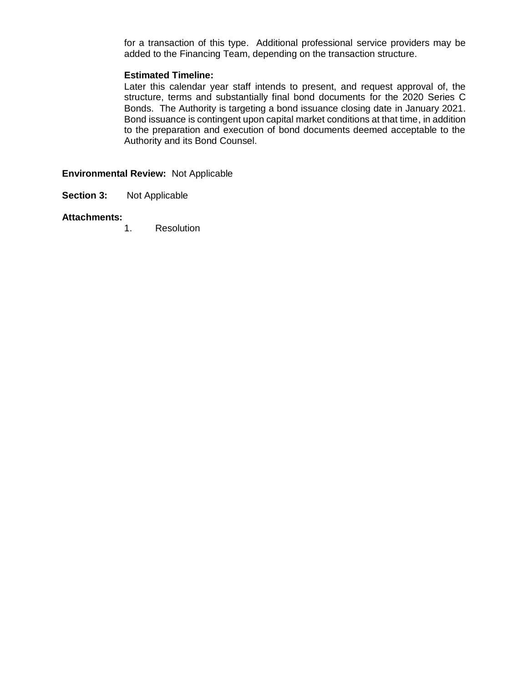for a transaction of this type. Additional professional service providers may be added to the Financing Team, depending on the transaction structure.

# **Estimated Timeline:**

Later this calendar year staff intends to present, and request approval of, the structure, terms and substantially final bond documents for the 2020 Series C Bonds. The Authority is targeting a bond issuance closing date in January 2021. Bond issuance is contingent upon capital market conditions at that time, in addition to the preparation and execution of bond documents deemed acceptable to the Authority and its Bond Counsel.

**Environmental Review:** Not Applicable

**Section 3:** Not Applicable

# **Attachments:**

1. Resolution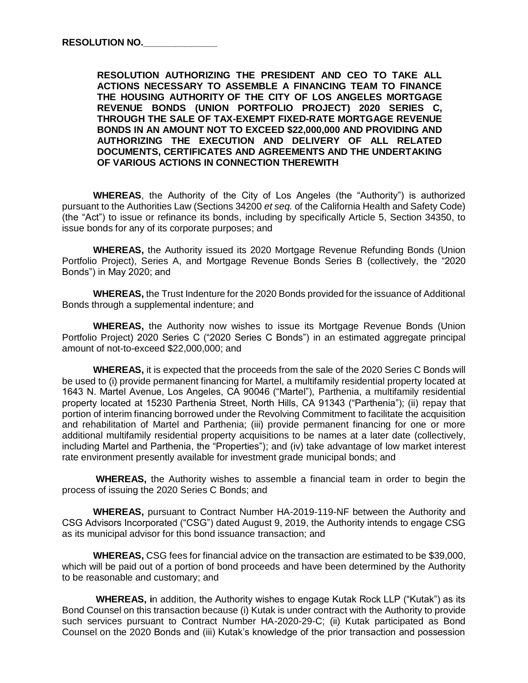**RESOLUTION AUTHORIZING THE PRESIDENT AND CEO TO TAKE ALL ACTIONS NECESSARY TO ASSEMBLE A FINANCING TEAM TO FINANCE THE HOUSING AUTHORITY OF THE CITY OF LOS ANGELES MORTGAGE REVENUE BONDS (UNION PORTFOLIO PROJECT) 2020 SERIES C, THROUGH THE SALE OF TAX-EXEMPT FIXED-RATE MORTGAGE REVENUE BONDS IN AN AMOUNT NOT TO EXCEED \$22,000,000 AND PROVIDING AND AUTHORIZING THE EXECUTION AND DELIVERY OF ALL RELATED DOCUMENTS, CERTIFICATES AND AGREEMENTS AND THE UNDERTAKING OF VARIOUS ACTIONS IN CONNECTION THEREWITH** 

**WHEREAS**, the Authority of the City of Los Angeles (the "Authority") is authorized pursuant to the Authorities Law (Sections 34200 *et seq.* of the California Health and Safety Code) (the "Act") to issue or refinance its bonds, including by specifically Article 5, Section 34350, to issue bonds for any of its corporate purposes; and

**WHEREAS,** the Authority issued its 2020 Mortgage Revenue Refunding Bonds (Union Portfolio Project), Series A, and Mortgage Revenue Bonds Series B (collectively, the "2020 Bonds") in May 2020; and

**WHEREAS,** the Trust Indenture for the 2020 Bonds provided for the issuance of Additional Bonds through a supplemental indenture; and

**WHEREAS,** the Authority now wishes to issue its Mortgage Revenue Bonds (Union Portfolio Project) 2020 Series C ("2020 Series C Bonds") in an estimated aggregate principal amount of not-to-exceed \$22,000,000; and

**WHEREAS,** it is expected that the proceeds from the sale of the 2020 Series C Bonds will be used to (i) provide permanent financing for Martel, a multifamily residential property located at 1643 N. Martel Avenue, Los Angeles, CA 90046 ("Martel"), Parthenia, a multifamily residential property located at 15230 Parthenia Street, North Hills, CA 91343 ("Parthenia"); (ii) repay that portion of interim financing borrowed under the Revolving Commitment to facilitate the acquisition and rehabilitation of Martel and Parthenia; (iii) provide permanent financing for one or more additional multifamily residential property acquisitions to be names at a later date (collectively, including Martel and Parthenia, the "Properties"); and (iv) take advantage of low market interest rate environment presently available for investment grade municipal bonds; and

**WHEREAS,** the Authority wishes to assemble a financial team in order to begin the process of issuing the 2020 Series C Bonds; and

**WHEREAS,** pursuant to Contract Number HA-2019-119-NF between the Authority and CSG Advisors Incorporated ("CSG") dated August 9, 2019, the Authority intends to engage CSG as its municipal advisor for this bond issuance transaction; and

**WHEREAS,** CSG fees for financial advice on the transaction are estimated to be \$39,000, which will be paid out of a portion of bond proceeds and have been determined by the Authority to be reasonable and customary; and

**WHEREAS, i**n addition, the Authority wishes to engage Kutak Rock LLP ("Kutak") as its Bond Counsel on this transaction because (i) Kutak is under contract with the Authority to provide such services pursuant to Contract Number HA-2020-29-C; (ii) Kutak participated as Bond Counsel on the 2020 Bonds and (iii) Kutak's knowledge of the prior transaction and possession